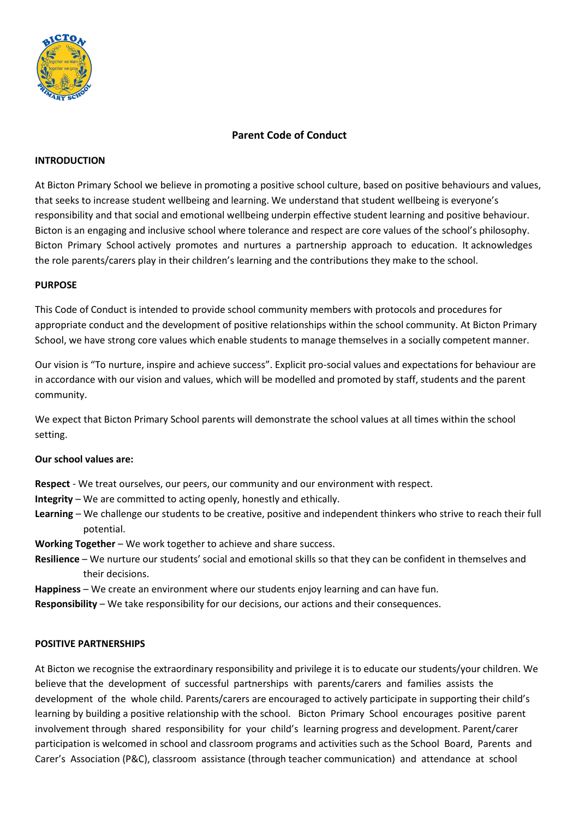

# **Parent Code of Conduct**

### **INTRODUCTION**

At Bicton Primary School we believe in promoting a positive school culture, based on positive behaviours and values, that seeks to increase student wellbeing and learning. We understand that student wellbeing is everyone's responsibility and that social and emotional wellbeing underpin effective student learning and positive behaviour. Bicton is an engaging and inclusive school where tolerance and respect are core values of the school's philosophy. Bicton Primary School actively promotes and nurtures a partnership approach to education. It acknowledges the role parents/carers play in their children's learning and the contributions they make to the school.

#### **PURPOSE**

This Code of Conduct is intended to provide school community members with protocols and procedures for appropriate conduct and the development of positive relationships within the school community. At Bicton Primary School, we have strong core values which enable students to manage themselves in a socially competent manner.

Our vision is "To nurture, inspire and achieve success". Explicit pro-social values and expectations for behaviour are in accordance with our vision and values, which will be modelled and promoted by staff, students and the parent community.

We expect that Bicton Primary School parents will demonstrate the school values at all times within the school setting.

### **Our school values are:**

**Respect** - We treat ourselves, our peers, our community and our environment with respect.

- **Integrity** We are committed to acting openly, honestly and ethically.
- **Learning** We challenge our students to be creative, positive and independent thinkers who strive to reach their full potential.
- **Working Together** We work together to achieve and share success.
- **Resilience** We nurture our students' social and emotional skills so that they can be confident in themselves and their decisions.
- **Happiness** We create an environment where our students enjoy learning and can have fun.
- **Responsibility** We take responsibility for our decisions, our actions and their consequences.

### **POSITIVE PARTNERSHIPS**

At Bicton we recognise the extraordinary responsibility and privilege it is to educate our students/your children. We believe that the development of successful partnerships with parents/carers and families assists the development of the whole child. Parents/carers are encouraged to actively participate in supporting their child's learning by building a positive relationship with the school. Bicton Primary School encourages positive parent involvement through shared responsibility for your child's learning progress and development. Parent/carer participation is welcomed in school and classroom programs and activities such as the School Board, Parents and Carer's Association (P&C), classroom assistance (through teacher communication) and attendance at school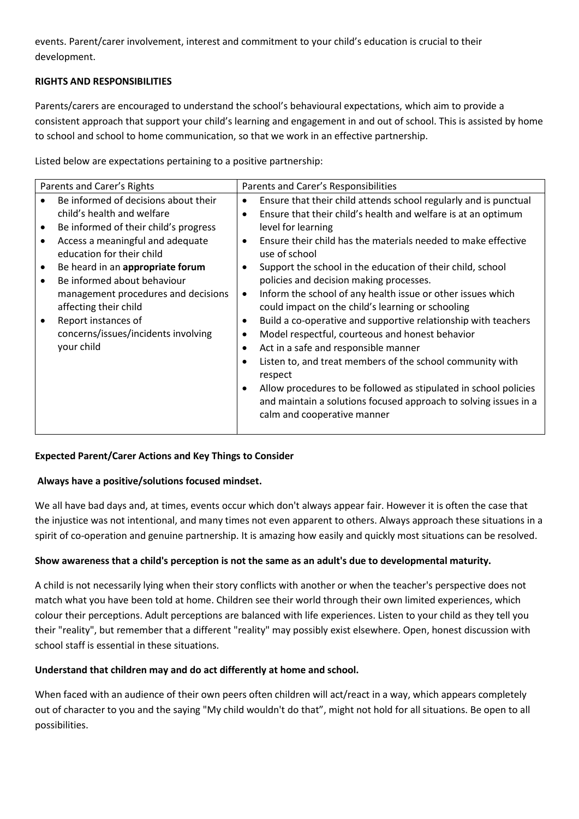events. Parent/carer involvement, interest and commitment to your child's education is crucial to their development.

## **RIGHTS AND RESPONSIBILITIES**

Parents/carers are encouraged to understand the school's behavioural expectations, which aim to provide a consistent approach that support your child's learning and engagement in and out of school. This is assisted by home to school and school to home communication, so that we work in an effective partnership.

Listed below are expectations pertaining to a positive partnership:

| Parents and Carer's Rights |                                       | Parents and Carer's Responsibilities |                                                                  |
|----------------------------|---------------------------------------|--------------------------------------|------------------------------------------------------------------|
|                            | Be informed of decisions about their  | $\bullet$                            | Ensure that their child attends school regularly and is punctual |
|                            | child's health and welfare            | $\bullet$                            | Ensure that their child's health and welfare is at an optimum    |
|                            | Be informed of their child's progress |                                      | level for learning                                               |
|                            | Access a meaningful and adequate      | $\bullet$                            | Ensure their child has the materials needed to make effective    |
|                            | education for their child             |                                      | use of school                                                    |
|                            | Be heard in an appropriate forum      | ٠                                    | Support the school in the education of their child, school       |
|                            | Be informed about behaviour           |                                      | policies and decision making processes.                          |
|                            | management procedures and decisions   | $\bullet$                            | Inform the school of any health issue or other issues which      |
|                            | affecting their child                 |                                      | could impact on the child's learning or schooling                |
|                            | Report instances of                   | ٠                                    | Build a co-operative and supportive relationship with teachers   |
|                            | concerns/issues/incidents involving   | ٠                                    | Model respectful, courteous and honest behavior                  |
|                            | your child                            | $\bullet$                            | Act in a safe and responsible manner                             |
|                            |                                       | ٠                                    | Listen to, and treat members of the school community with        |
|                            |                                       |                                      | respect                                                          |
|                            |                                       | $\bullet$                            | Allow procedures to be followed as stipulated in school policies |
|                            |                                       |                                      | and maintain a solutions focused approach to solving issues in a |
|                            |                                       |                                      | calm and cooperative manner                                      |
|                            |                                       |                                      |                                                                  |

# **Expected Parent/Carer Actions and Key Things to Consider**

### **Always have a positive/solutions focused mindset.**

We all have bad days and, at times, events occur which don't always appear fair. However it is often the case that the injustice was not intentional, and many times not even apparent to others. Always approach these situations in a spirit of co-operation and genuine partnership. It is amazing how easily and quickly most situations can be resolved.

# **Show awareness that a child's perception is not the same as an adult's due to developmental maturity.**

A child is not necessarily lying when their story conflicts with another or when the teacher's perspective does not match what you have been told at home. Children see their world through their own limited experiences, which colour their perceptions. Adult perceptions are balanced with life experiences. Listen to your child as they tell you their "reality", but remember that a different "reality" may possibly exist elsewhere. Open, honest discussion with school staff is essential in these situations.

### **Understand that children may and do act differently at home and school.**

When faced with an audience of their own peers often children will act/react in a way, which appears completely out of character to you and the saying "My child wouldn't do that", might not hold for all situations. Be open to all possibilities.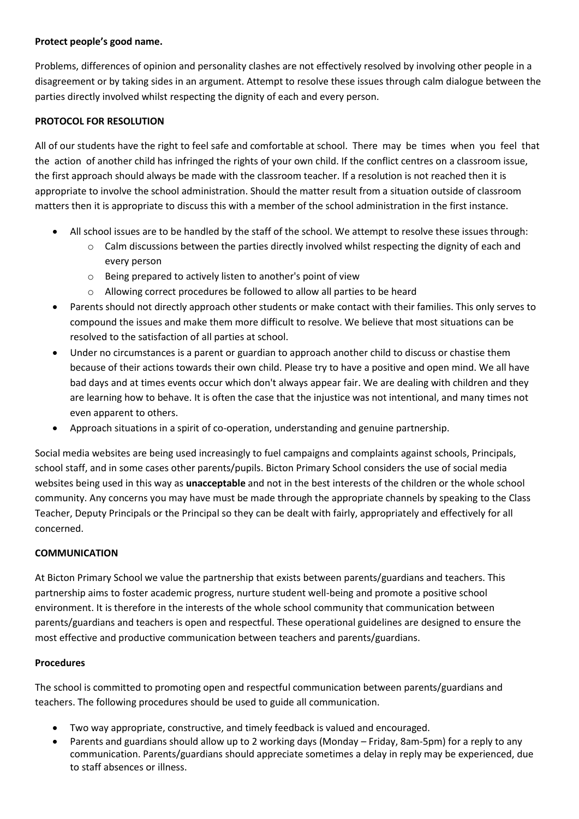### **Protect people's good name.**

Problems, differences of opinion and personality clashes are not effectively resolved by involving other people in a disagreement or by taking sides in an argument. Attempt to resolve these issues through calm dialogue between the parties directly involved whilst respecting the dignity of each and every person.

### **PROTOCOL FOR RESOLUTION**

All of our students have the right to feel safe and comfortable at school. There may be times when you feel that the action of another child has infringed the rights of your own child. If the conflict centres on a classroom issue, the first approach should always be made with the classroom teacher. If a resolution is not reached then it is appropriate to involve the school administration. Should the matter result from a situation outside of classroom matters then it is appropriate to discuss this with a member of the school administration in the first instance.

- All school issues are to be handled by the staff of the school. We attempt to resolve these issues through:
	- $\circ$  Calm discussions between the parties directly involved whilst respecting the dignity of each and every person
	- o Being prepared to actively listen to another's point of view
	- o Allowing correct procedures be followed to allow all parties to be heard
- Parents should not directly approach other students or make contact with their families. This only serves to compound the issues and make them more difficult to resolve. We believe that most situations can be resolved to the satisfaction of all parties at school.
- Under no circumstances is a parent or guardian to approach another child to discuss or chastise them because of their actions towards their own child. Please try to have a positive and open mind. We all have bad days and at times events occur which don't always appear fair. We are dealing with children and they are learning how to behave. It is often the case that the injustice was not intentional, and many times not even apparent to others.
- Approach situations in a spirit of co-operation, understanding and genuine partnership.

Social media websites are being used increasingly to fuel campaigns and complaints against schools, Principals, school staff, and in some cases other parents/pupils. Bicton Primary School considers the use of social media websites being used in this way as **unacceptable** and not in the best interests of the children or the whole school community. Any concerns you may have must be made through the appropriate channels by speaking to the Class Teacher, Deputy Principals or the Principal so they can be dealt with fairly, appropriately and effectively for all concerned.

### **COMMUNICATION**

At Bicton Primary School we value the partnership that exists between parents/guardians and teachers. This partnership aims to foster academic progress, nurture student well-being and promote a positive school environment. It is therefore in the interests of the whole school community that communication between parents/guardians and teachers is open and respectful. These operational guidelines are designed to ensure the most effective and productive communication between teachers and parents/guardians.

### **Procedures**

The school is committed to promoting open and respectful communication between parents/guardians and teachers. The following procedures should be used to guide all communication.

- Two way appropriate, constructive, and timely feedback is valued and encouraged.
- Parents and guardians should allow up to 2 working days (Monday Friday, 8am-5pm) for a reply to any communication. Parents/guardians should appreciate sometimes a delay in reply may be experienced, due to staff absences or illness.